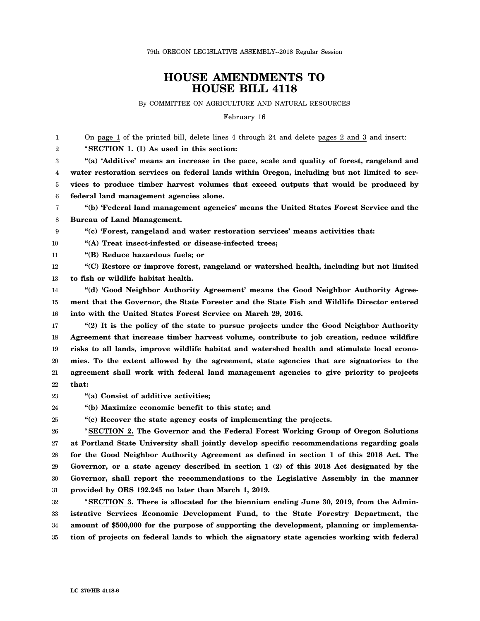## **HOUSE AMENDMENTS TO HOUSE BILL 4118**

By COMMITTEE ON AGRICULTURE AND NATURAL RESOURCES

February 16

1  $\mathfrak{D}$ 3 4 5 6 7 8 9 10 11 12 13 14 15 16 17 18 19 20 21 22 23 24 25 26 27 28 29 30 31 32 33 34 35 On page 1 of the printed bill, delete lines 4 through 24 and delete pages 2 and 3 and insert: "**SECTION 1. (1) As used in this section: "(a) 'Additive' means an increase in the pace, scale and quality of forest, rangeland and water restoration services on federal lands within Oregon, including but not limited to services to produce timber harvest volumes that exceed outputs that would be produced by federal land management agencies alone. "(b) 'Federal land management agencies' means the United States Forest Service and the Bureau of Land Management. "(c) 'Forest, rangeland and water restoration services' means activities that: "(A) Treat insect-infested or disease-infected trees; "(B) Reduce hazardous fuels; or "(C) Restore or improve forest, rangeland or watershed health, including but not limited to fish or wildlife habitat health. "(d) 'Good Neighbor Authority Agreement' means the Good Neighbor Authority Agreement that the Governor, the State Forester and the State Fish and Wildlife Director entered into with the United States Forest Service on March 29, 2016. "(2) It is the policy of the state to pursue projects under the Good Neighbor Authority Agreement that increase timber harvest volume, contribute to job creation, reduce wildfire risks to all lands, improve wildlife habitat and watershed health and stimulate local economies. To the extent allowed by the agreement, state agencies that are signatories to the agreement shall work with federal land management agencies to give priority to projects that: "(a) Consist of additive activities; "(b) Maximize economic benefit to this state; and "(c) Recover the state agency costs of implementing the projects.** "**SECTION 2. The Governor and the Federal Forest Working Group of Oregon Solutions at Portland State University shall jointly develop specific recommendations regarding goals for the Good Neighbor Authority Agreement as defined in section 1 of this 2018 Act. The Governor, or a state agency described in section 1 (2) of this 2018 Act designated by the Governor, shall report the recommendations to the Legislative Assembly in the manner provided by ORS 192.245 no later than March 1, 2019.** "**SECTION 3. There is allocated for the biennium ending June 30, 2019, from the Administrative Services Economic Development Fund, to the State Forestry Department, the amount of \$500,000 for the purpose of supporting the development, planning or implementation of projects on federal lands to which the signatory state agencies working with federal**